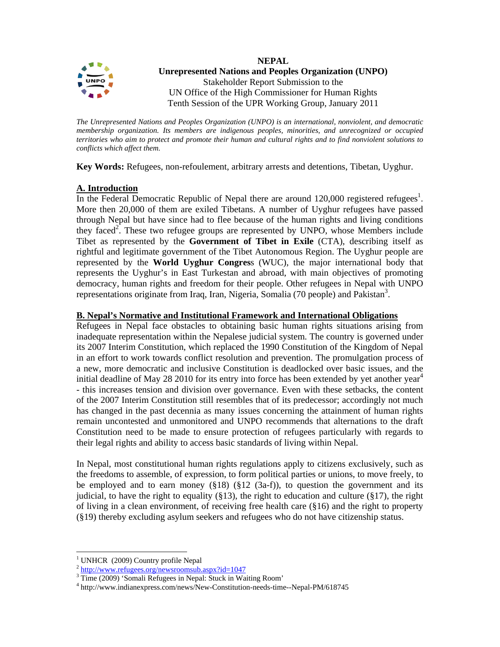

*The Unrepresented Nations and Peoples Organization (UNPO) is an international, nonviolent, and democratic membership organization. Its members are indigenous peoples, minorities, and unrecognized or occupied territories who aim to protect and promote their human and cultural rights and to find nonviolent solutions to conflicts which affect them.* 

**Key Words:** Refugees, non-refoulement, arbitrary arrests and detentions, Tibetan, Uyghur.

# **A. Introduction**

In the Federal Democratic Republic of Nepal there are around  $120,000$  registered refugees<sup>1</sup>. More then 20,000 of them are exiled Tibetans. A number of Uyghur refugees have passed through Nepal but have since had to flee because of the human rights and living conditions they faced<sup>2</sup>. These two refugee groups are represented by UNPO, whose Members include Tibet as represented by the **Government of Tibet in Exile** (CTA), describing itself as rightful and legitimate government of the Tibet Autonomous Region. The Uyghur people are represented by the **World Uyghur Congres**s (WUC), the major international body that represents the Uyghur's in East Turkestan and abroad, with main objectives of promoting democracy, human rights and freedom for their people. Other refugees in Nepal with UNPO representations originate from Iraq, Iran, Nigeria, Somalia (70 people) and Pakistan<sup>3</sup>.

### **B. Nepal's Normative and Institutional Framework and International Obligations**

Refugees in Nepal face obstacles to obtaining basic human rights situations arising from inadequate representation within the Nepalese judicial system. The country is governed under its 2007 Interim Constitution, which replaced the 1990 Constitution of the Kingdom of Nepal in an effort to work towards conflict resolution and prevention. The promulgation process of a new, more democratic and inclusive Constitution is deadlocked over basic issues, and the initial deadline of May 28 2010 for its entry into force has been extended by yet another year<sup>4</sup> - this increases tension and division over governance. Even with these setbacks, the content of the 2007 Interim Constitution still resembles that of its predecessor; accordingly not much has changed in the past decennia as many issues concerning the attainment of human rights remain uncontested and unmonitored and UNPO recommends that alternations to the draft Constitution need to be made to ensure protection of refugees particularly with regards to their legal rights and ability to access basic standards of living within Nepal.

In Nepal, most constitutional human rights regulations apply to citizens exclusively, such as the freedoms to assemble, of expression, to form political parties or unions, to move freely, to be employed and to earn money  $(\S18)$   $(\S12 \text{ (3a-f)}),$  to question the government and its judicial, to have the right to equality (§13), the right to education and culture (§17), the right of living in a clean environment, of receiving free health care (§16) and the right to property (§19) thereby excluding asylum seekers and refugees who do not have citizenship status.

 $\overline{a}$ 

<sup>&</sup>lt;sup>1</sup> UNHCR (2009) Country profile Nepal

 $^{2}$  http://www.refugees.org/newsroomsub.aspx?id=1047

<sup>&</sup>lt;sup>3</sup> Time (2009) 'Somali Refugees in Nepal: Stuck in Waiting Room'

<sup>4</sup> http://www.indianexpress.com/news/New-Constitution-needs-time--Nepal-PM/618745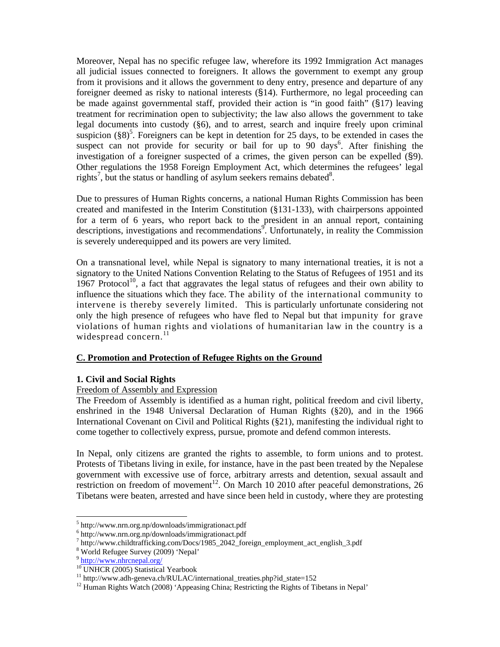Moreover, Nepal has no specific refugee law, wherefore its 1992 Immigration Act manages all judicial issues connected to foreigners. It allows the government to exempt any group from it provisions and it allows the government to deny entry, presence and departure of any foreigner deemed as risky to national interests (§14). Furthermore, no legal proceeding can be made against governmental staff, provided their action is "in good faith" (§17) leaving treatment for recrimination open to subjectivity; the law also allows the government to take legal documents into custody (§6), and to arrest, search and inquire freely upon criminal suspicion  $(\S 8)^5$ . Foreigners can be kept in detention for 25 days, to be extended in cases the suspect can not provide for security or bail for up to  $90$  days<sup>6</sup>. After finishing the investigation of a foreigner suspected of a crimes, the given person can be expelled (§9). Other regulations the 1958 Foreign Employment Act, which determines the refugees' legal rights<sup>7</sup>, but the status or handling of asylum seekers remains debated<sup>8</sup>.

Due to pressures of Human Rights concerns, a national Human Rights Commission has been created and manifested in the Interim Constitution (§131-133), with chairpersons appointed for a term of 6 years, who report back to the president in an annual report, containing descriptions, investigations and recommendations<sup>9</sup>. Unfortunately, in reality the Commission is severely underequipped and its powers are very limited.

On a transnational level, while Nepal is signatory to many international treaties, it is not a signatory to the United Nations Convention Relating to the Status of Refugees of 1951 and its 1967 Protocol<sup>10</sup>, a fact that aggravates the legal status of refugees and their own ability to influence the situations which they face. The ability of the international community to intervene is thereby severely limited. This is particularly unfortunate considering not only the high presence of refugees who have fled to Nepal but that impunity for grave violations of human rights and violations of humanitarian law in the country is a widespread concern. $^{11}$ 

# **C. Promotion and Protection of Refugee Rights on the Ground**

# **1. Civil and Social Rights**

### Freedom of Assembly and Expression

The Freedom of Assembly is identified as a human right, political freedom and civil liberty, enshrined in the 1948 Universal Declaration of Human Rights (§20), and in the 1966 International Covenant on Civil and Political Rights (§21), manifesting the individual right to come together to collectively express, pursue, promote and defend common interests.

In Nepal, only citizens are granted the rights to assemble, to form unions and to protest. Protests of Tibetans living in exile, for instance, have in the past been treated by the Nepalese government with excessive use of force, arbitrary arrests and detention, sexual assault and restriction on freedom of movement<sup>12</sup>. On March 10 2010 after peaceful demonstrations, 26 Tibetans were beaten, arrested and have since been held in custody, where they are protesting

 $\overline{a}$ 

<sup>5</sup> http://www.nrn.org.np/downloads/immigrationact.pdf

<sup>6</sup> http://www.nrn.org.np/downloads/immigrationact.pdf

<sup>&</sup>lt;sup>7</sup> http://www.childtrafficking.com/Docs/1985\_2042\_foreign\_employment\_act\_english\_3.pdf

<sup>8</sup> World Refugee Survey (2009) 'Nepal'

<sup>&</sup>lt;sup>9</sup> http://www.nhrcnepal.org/

<sup>&</sup>lt;sup>10</sup> UNHCR (2005) Statistical Yearbook

 $11$  http://www.adh-geneva.ch/RULAC/international\_treaties.php?id\_state=152

<sup>&</sup>lt;sup>12</sup> Human Rights Watch (2008) 'Appeasing China; Restricting the Rights of Tibetans in Nepal'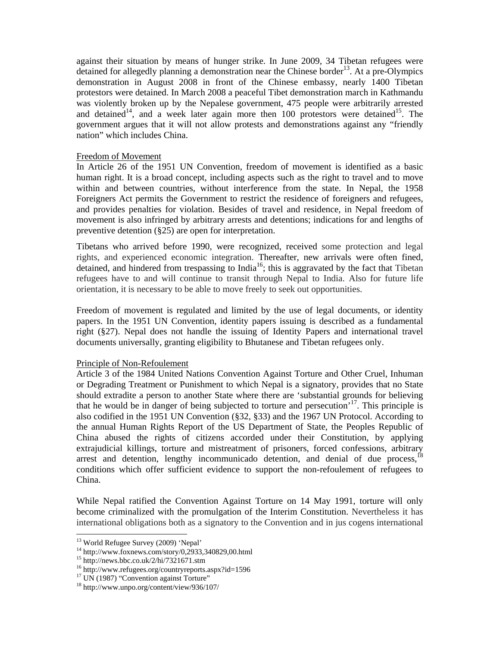against their situation by means of hunger strike. In June 2009, 34 Tibetan refugees were detained for allegedly planning a demonstration near the Chinese border<sup>13</sup>. At a pre-Olympics demonstration in August 2008 in front of the Chinese embassy, nearly 1400 Tibetan protestors were detained. In March 2008 a peaceful Tibet demonstration march in Kathmandu was violently broken up by the Nepalese government, 475 people were arbitrarily arrested and detained<sup>14</sup>, and a week later again more then 100 protestors were detained<sup>15</sup>. The government argues that it will not allow protests and demonstrations against any "friendly nation" which includes China.

#### Freedom of Movement

In Article 26 of the 1951 UN Convention, freedom of movement is identified as a basic human right. It is a broad concept, including aspects such as the right to travel and to move within and between countries, without interference from the state. In Nepal, the 1958 Foreigners Act permits the Government to restrict the residence of foreigners and refugees, and provides penalties for violation. Besides of travel and residence, in Nepal freedom of movement is also infringed by arbitrary arrests and detentions; indications for and lengths of preventive detention (§25) are open for interpretation.

Tibetans who arrived before 1990, were recognized, received some protection and legal rights, and experienced economic integration. Thereafter, new arrivals were often fined, detained, and hindered from trespassing to India<sup>16</sup>; this is aggravated by the fact that Tibetan refugees have to and will continue to transit through Nepal to India. Also for future life orientation, it is necessary to be able to move freely to seek out opportunities.

Freedom of movement is regulated and limited by the use of legal documents, or identity papers. In the 1951 UN Convention, identity papers issuing is described as a fundamental right (§27). Nepal does not handle the issuing of Identity Papers and international travel documents universally, granting eligibility to Bhutanese and Tibetan refugees only.

### Principle of Non-Refoulement

Article 3 of the 1984 United Nations Convention Against Torture and Other Cruel, Inhuman or Degrading Treatment or Punishment to which Nepal is a signatory, provides that no State should extradite a person to another State where there are 'substantial grounds for believing that he would be in danger of being subjected to torture and persecution<sup> $17$ </sup>. This principle is also codified in the 1951 UN Convention (§32, §33) and the 1967 UN Protocol. According to the annual Human Rights Report of the US Department of State, the Peoples Republic of China abused the rights of citizens accorded under their Constitution, by applying extrajudicial killings, torture and mistreatment of prisoners, forced confessions, arbitrary arrest and detention, lengthy incommunicado detention, and denial of due process.<sup>18</sup> conditions which offer sufficient evidence to support the non-refoulement of refugees to China.

While Nepal ratified the Convention Against Torture on 14 May 1991, torture will only become criminalized with the promulgation of the Interim Constitution. Nevertheless it has international obligations both as a signatory to the Convention and in jus cogens international

<sup>&</sup>lt;sup>13</sup> World Refugee Survey (2009) 'Nepal'

 $14 \text{ http://www.foxnews.com/story/0,2933,340829,00.html}$ 

 $15$  http://news.bbc.co.uk/2/hi/7321671.stm

<sup>&</sup>lt;sup>16</sup> http://www.refugees.org/countryreports.aspx?id=1596

 $17$  UN (1987) "Convention against Torture"

<sup>18</sup> http://www.unpo.org/content/view/936/107/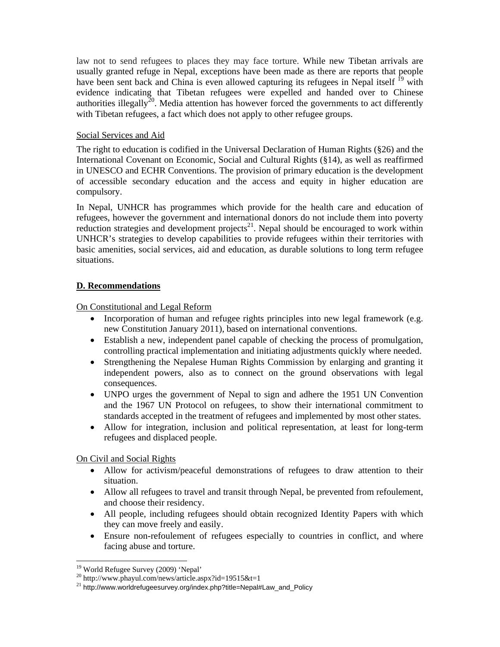law not to send refugees to places they may face torture. While new Tibetan arrivals are usually granted refuge in Nepal, exceptions have been made as there are reports that people have been sent back and China is even allowed capturing its refugees in Nepal itself <sup>19</sup> with evidence indicating that Tibetan refugees were expelled and handed over to Chinese authorities illegally<sup>20</sup>. Media attention has however forced the governments to act differently with Tibetan refugees, a fact which does not apply to other refugee groups.

## Social Services and Aid

The right to education is codified in the Universal Declaration of Human Rights (§26) and the International Covenant on Economic, Social and Cultural Rights (§14), as well as reaffirmed in UNESCO and ECHR Conventions. The provision of primary education is the development of accessible secondary education and the access and equity in higher education are compulsory.

In Nepal, UNHCR has programmes which provide for the health care and education of refugees, however the government and international donors do not include them into poverty reduction strategies and development projects<sup>21</sup>. Nepal should be encouraged to work within UNHCR's strategies to develop capabilities to provide refugees within their territories with basic amenities, social services, aid and education, as durable solutions to long term refugee situations.

# **D. Recommendations**

On Constitutional and Legal Reform

- Incorporation of human and refugee rights principles into new legal framework (e.g. new Constitution January 2011), based on international conventions.
- Establish a new, independent panel capable of checking the process of promulgation, controlling practical implementation and initiating adjustments quickly where needed.
- Strengthening the Nepalese Human Rights Commission by enlarging and granting it independent powers, also as to connect on the ground observations with legal consequences.
- UNPO urges the government of Nepal to sign and adhere the 1951 UN Convention and the 1967 UN Protocol on refugees, to show their international commitment to standards accepted in the treatment of refugees and implemented by most other states.
- Allow for integration, inclusion and political representation, at least for long-term refugees and displaced people.

On Civil and Social Rights

- Allow for activism/peaceful demonstrations of refugees to draw attention to their situation.
- Allow all refugees to travel and transit through Nepal, be prevented from refoulement, and choose their residency.
- All people, including refugees should obtain recognized Identity Papers with which they can move freely and easily.
- Ensure non-refoulement of refugees especially to countries in conflict, and where facing abuse and torture.

<sup>&</sup>lt;sup>19</sup> World Refugee Survey (2009) 'Nepal'

 $^{20}$  http://www.phayul.com/news/article.aspx?id=19515&t=1

<sup>&</sup>lt;sup>21</sup> http://www.worldrefugeesurvey.org/index.php?title=Nepal#Law\_and\_Policy